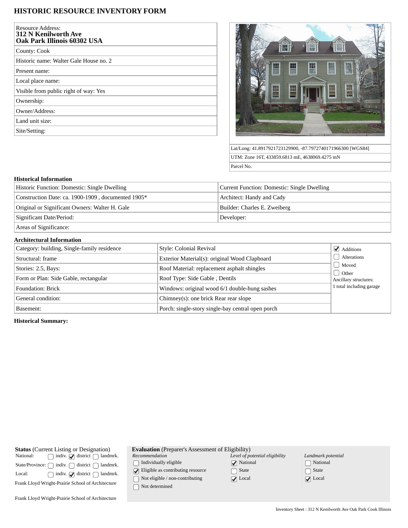# **HISTORIC RESOURCE INVENTORY FORM**

| <b>Resource Address:</b><br><b>312 N Kenilworth Ave</b><br>Oak Park Illinois 60302 USA |
|----------------------------------------------------------------------------------------|
| County: Cook                                                                           |
| Historic name: Walter Gale House no. 2                                                 |
| Present name:                                                                          |
| Local place name:                                                                      |
| Visible from public right of way: Yes                                                  |
| Ownership:                                                                             |
| Owner/Address:                                                                         |
| Land unit size:                                                                        |
| Site/Setting:                                                                          |



Lat/Long: 41.8917921723129900, -87.7972740171966300 [WGS84] UTM: Zone 16T, 433859.6813 mE, 4638069.4275 mN Parcel No.

#### **Historical Information**

| Historic Function: Domestic: Single Dwelling       | Current Function: Domestic: Single Dwelling |
|----------------------------------------------------|---------------------------------------------|
| Construction Date: ca. 1900-1909, documented 1905* | Architect: Handy and Cady                   |
| Original or Significant Owners: Walter H. Gale     | Builder: Charles E. Zweiberg                |
| Significant Date/Period:                           | Developer:                                  |
| Areas of Significance:                             |                                             |

## **Architectural Information**

| Category: building, Single-family residence | Style: Colonial Revival                           | $\blacktriangleright$ Additions  |
|---------------------------------------------|---------------------------------------------------|----------------------------------|
| Structural: frame                           | Exterior Material(s): original Wood Clapboard     | Alterations                      |
| Stories: 2.5, Bays:                         | Roof Material: replacement asphalt shingles       | Moved                            |
| Form or Plan: Side Gable, rectangular       | Roof Type: Side Gable, Dentils                    | d Other<br>Ancillary structures: |
| Foundation: Brick                           | Windows: original wood 6/1 double-hung sashes     | 1 total including garage         |
| General condition:                          | Chimney(s): one brick Rear rear slope             |                                  |
| Basement:                                   | Porch: single-story single-bay central open porch |                                  |

### **Historical Summary:**

| <b>Status</b> (Current Listing or Designation)                         |  |  |                                               |
|------------------------------------------------------------------------|--|--|-----------------------------------------------|
| National:                                                              |  |  | $\Box$ indiv. $\Box$ district $\Box$ landmrk. |
| State/Province: $\bigcap$ indiv. $\bigcap$ district $\bigcap$ landmrk. |  |  |                                               |
| Local:                                                                 |  |  | $\Box$ indiv. $\Box$ district $\Box$ landmrk. |
| Frank Llovd Wright-Prairie School of Architecture                      |  |  |                                               |
|                                                                        |  |  |                                               |

| <b>Evaluation</b> (Preparer's Assessment of Eligibility) |
|----------------------------------------------------------|
|                                                          |

*Recommendation*

 $\hfill\textstyle\bigcap\textstyle\textstyle\bigcap\textstyle\textstyle\bigcap\textstyle\textstyle\textstyle\bigcap\textstyle\textstyle\textstyle\bigcup\textstyle\textstyle\big$ 

 $\bigcirc$  Eligible as contributing resource

 $\hfill\Box$  Not eligible / non-contributing

 $\hfill\Box$ <br> <br> Not determined

| Level of potential eligibility |
|--------------------------------|
| $\sqrt{\phantom{a}}$ National  |
| $\bigcap$ State                |
| $\sqrt{\phantom{a}}$ Local     |

*Landmark potential* National □ State ◯ Local